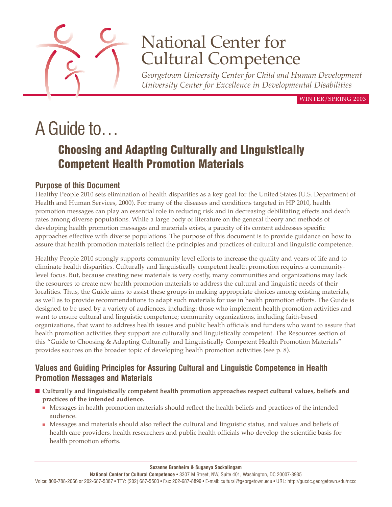

# National Center for Cultural Competence

*Georgetown University Center for Child and Human Development University Center for Excellence in Developmental Disabilities*

WINTER/SPRING 2003

# A Guide to…

# **Choosing and Adapting Culturally and Linguistically Competent Health Promotion Materials**

### **Purpose of this Document**

Healthy People 2010 sets elimination of health disparities as a key goal for the United States (U.S. Department of Health and Human Services, 2000). For many of the diseases and conditions targeted in HP 2010, health promotion messages can play an essential role in reducing risk and in decreasing debilitating effects and death rates among diverse populations. While a large body of literature on the general theory and methods of developing health promotion messages and materials exists, a paucity of its content addresses specific approaches effective with diverse populations. The purpose of this document is to provide guidance on how to assure that health promotion materials reflect the principles and practices of cultural and linguistic competence.

Healthy People 2010 strongly supports community level efforts to increase the quality and years of life and to eliminate health disparities. Culturally and linguistically competent health promotion requires a communitylevel focus. But, because creating new materials is very costly, many communities and organizations may lack the resources to create new health promotion materials to address the cultural and linguistic needs of their localities. Thus, the Guide aims to assist these groups in making appropriate choices among existing materials, as well as to provide recommendations to adapt such materials for use in health promotion efforts. The Guide is designed to be used by a variety of audiences, including: those who implement health promotion activities and want to ensure cultural and linguistic competence; community organizations, including faith-based organizations, that want to address health issues and public health officials and funders who want to assure that health promotion activities they support are culturally and linguistically competent. The Resources section of this "Guide to Choosing & Adapting Culturally and Linguistically Competent Health Promotion Materials" provides sources on the broader topic of developing health promotion activities (see p. 8).

### **Values and Guiding Principles for Assuring Cultural and Linguistic Competence in Health Promotion Messages and Materials**

- **Culturally and linguistically competent health promotion approaches respect cultural values, beliefs and practices of the intended audience.**
	- Messages in health promotion materials should reflect the health beliefs and practices of the intended audience.
	- Messages and materials should also reflect the cultural and linguistic status, and values and beliefs of health care providers, health researchers and public health officials who develop the scientific basis for health promotion efforts.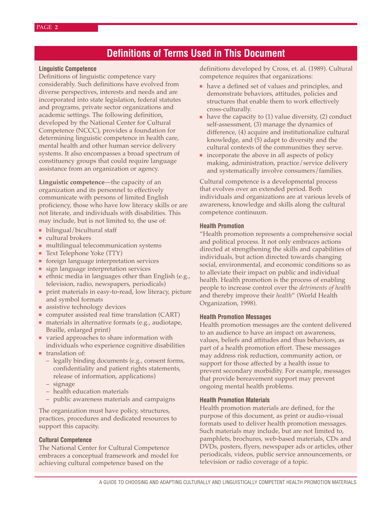# **Definitions of Terms Used in This Document**

#### **Linguistic Competence**

Definitions of linguistic competence vary considerably. Such definitions have evolved from diverse perspectives, interests and needs and are incorporated into state legislation, federal statutes and programs, private sector organizations and academic settings. The following definition, developed by the National Center for Cultural Competence (NCCC), provides a foundation for determining linguistic competence in health care, mental health and other human service delivery systems. It also encompasses a broad spectrum of constituency groups that could require language assistance from an organization or agency.

**Linguistic competence**—the capacity of an organization and its personnel to effectively communicate with persons of limited English proficiency, those who have low literacy skills or are not literate, and individuals with disabilities. This may include, but is not limited to, the use of:

- bilingual/bicultural staff
- cultural brokers
- multilingual telecommunication systems
- Text Telephone Yoke (TTY)
- foreign language interpretation services
- sign language interpretation services
- ethnic media in languages other than English (e.g., television, radio, newspapers, periodicals)
- print materials in easy-to-read, low literacy, picture and symbol formats
- assistive technology devices
- computer assisted real time translation (CART)
- materials in alternative formats (e.g., audiotape, Braille, enlarged print)
- varied approaches to share information with individuals who experience cognitive disabilities
- translation of:
	- legally binding documents (e.g., consent forms, confidentiality and patient rights statements, release of information, applications)
	- signage
	- health education materials
	- public awareness materials and campaigns

The organization must have policy, structures, practices, procedures and dedicated resources to support this capacity.

#### **Cultural Competence**

The National Center for Cultural Competence embraces a conceptual framework and model for achieving cultural competence based on the

definitions developed by Cross, et. al. (1989). Cultural competence requires that organizations:

- have a defined set of values and principles, and demonstrate behaviors, attitudes, policies and structures that enable them to work effectively cross-culturally.
- have the capacity to  $(1)$  value diversity,  $(2)$  conduct self-assessment, (3) manage the dynamics of difference, (4) acquire and institutionalize cultural knowledge, and (5) adapt to diversity and the cultural contexts of the communities they serve.
- incorporate the above in all aspects of policy making, administration, practice/service delivery and systematically involve consumers/families.

Cultural competence is a developmental process that evolves over an extended period. Both individuals and organizations are at various levels of awareness, knowledge and skills along the cultural competence continuum.

#### **Health Promotion**

"Health promotion represents a comprehensive social and political process. It not only embraces actions directed at strengthening the skills and capabilities of individuals, but action directed towards changing social, environmental, and economic conditions so as to alleviate their impact on public and individual health. Health promotion is the process of enabling people to increase control over the *detriments of health* and thereby improve their *health*" (World Health Organization, 1998).

#### **Health Promotion Messages**

Health promotion messages are the content delivered to an audience to have an impact on awareness, values, beliefs and attitudes and thus behaviors, as part of a health promotion effort. These messages may address risk reduction, community action, or support for those affected by a health issue to prevent secondary morbidity. For example, messages that provide bereavement support may prevent ongoing mental health problems.

#### **Health Promotion Materials**

Health promotion materials are defined, for the purpose of this document, as print or audio-visual formats used to deliver health promotion messages. Such materials may include, but are not limited to, pamphlets, brochures, web-based materials, CDs and DVDs, posters, flyers, newspaper ads or articles, other periodicals, videos, public service announcements, or television or radio coverage of a topic.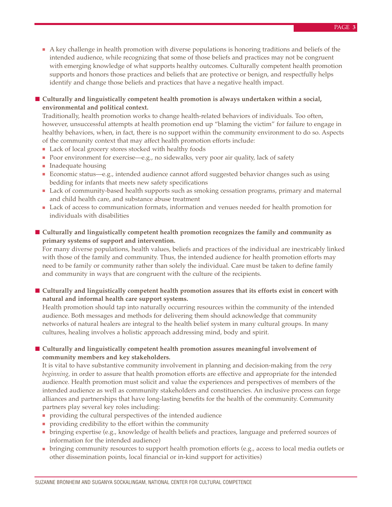- A key challenge in health promotion with diverse populations is honoring traditions and beliefs of the intended audience, while recognizing that some of those beliefs and practices may not be congruent with emerging knowledge of what supports healthy outcomes. Culturally competent health promotion supports and honors those practices and beliefs that are protective or benign, and respectfully helps identify and change those beliefs and practices that have a negative health impact.
- **Culturally and linguistically competent health promotion is always undertaken within a social, environmental and political context.**

Traditionally, health promotion works to change health-related behaviors of individuals. Too often, however, unsuccessful attempts at health promotion end up "blaming the victim" for failure to engage in healthy behaviors, when, in fact, there is no support within the community environment to do so. Aspects of the community context that may affect health promotion efforts include:

- Lack of local grocery stores stocked with healthy foods
- Poor environment for exercise—e.g., no sidewalks, very poor air quality, lack of safety
- Inadequate housing
- Economic status—e.g., intended audience cannot afford suggested behavior changes such as using bedding for infants that meets new safety specifications
- Lack of community-based health supports such as smoking cessation programs, primary and maternal and child health care, and substance abuse treatment
- Lack of access to communication formats, information and venues needed for health promotion for individuals with disabilities
- **Culturally and linguistically competent health promotion recognizes the family and community as primary systems of support and intervention.**

For many diverse populations, health values, beliefs and practices of the individual are inextricably linked with those of the family and community. Thus, the intended audience for health promotion efforts may need to be family or community rather than solely the individual. Care must be taken to define family and community in ways that are congruent with the culture of the recipients.

■ **Culturally and linguistically competent health promotion assures that its efforts exist in concert with natural and informal health care support systems.**

Health promotion should tap into naturally occurring resources within the community of the intended audience. Both messages and methods for delivering them should acknowledge that community networks of natural healers are integral to the health belief system in many cultural groups. In many cultures, healing involves a holistic approach addressing mind, body and spirit.

#### ■ **Culturally and linguistically competent health promotion assures meaningful involvement of community members and key stakeholders.**

It is vital to have substantive community involvement in planning and decision-making from the *very beginning,* in order to assure that health promotion efforts are effective and appropriate for the intended audience. Health promotion must solicit and value the experiences and perspectives of members of the intended audience as well as community stakeholders and constituencies. An inclusive process can forge alliances and partnerships that have long-lasting benefits for the health of the community. Community partners play several key roles including:

- providing the cultural perspectives of the intended audience
- providing credibility to the effort within the community
- bringing expertise (e.g., knowledge of health beliefs and practices, language and preferred sources of information for the intended audience)
- bringing community resources to support health promotion efforts (e.g., access to local media outlets or other dissemination points, local financial or in-kind support for activities)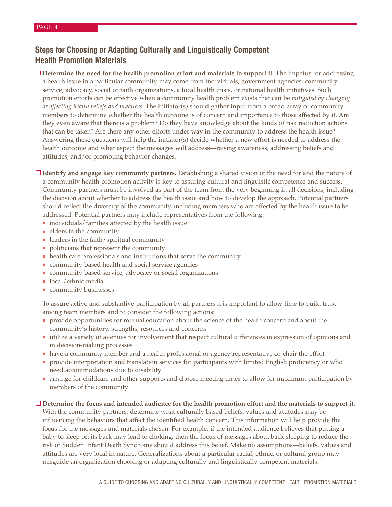## **Steps for Choosing or Adapting Culturally and Linguistically Competent Health Promotion Materials**

□ **Determine the need for the health promotion effort and materials to support it.** The impetus for addressing a health issue in a particular community may come from individuals, government agencies, community service, advocacy, social or faith organizations, a local health crisis, or national health initiatives. Such promotion efforts can be effective when a community health problem exists that can be *mitigated by changing or affecting health beliefs and practices*. The initiator(s) should gather input from a broad array of community members to determine whether the health outcome is of concern and importance to those affected by it. Are they even aware that there is a problem? Do they have knowledge about the kinds of risk reduction actions that can be taken? Are there any other efforts under way in the community to address the health issue? Answering these questions will help the initiator(s) decide whether a new effort is needed to address the health outcome and what aspect the messages will address—raising awareness, addressing beliefs and attitudes, and/or promoting behavior changes.

**Identify and engage key community partners.** Establishing a shared vision of the need for and the nature of a community health promotion activity is key to assuring cultural and linguistic competence and success. Community partners must be involved as part of the team from the very beginning in all decisions, including the decision about whether to address the health issue and how to develop the approach. Potential partners should reflect the diversity of the community, including members who are affected by the health issue to be addressed. Potential partners may include representatives from the following:

- individuals/families affected by the health issue
- elders in the community
- leaders in the faith/spiritual community
- politicians that represent the community
- health care professionals and institutions that serve the community
- community-based health and social service agencies
- community-based service, advocacy or social organizations
- local/ethnic media
- community businesses

To assure active and substantive participation by all partners it is important to allow time to build trust among team members and to consider the following actions:

- provide opportunities for mutual education about the science of the health concern and about the community's history, strengths, resources and concerns
- utilize a variety of avenues for involvement that respect cultural differences in expression of opinions and in decision-making processes
- have a community member and a health professional or agency representative co-chair the effort
- provide interpretation and translation services for participants with limited English proficiency or who need accommodations due to disability
- arrange for childcare and other supports and choose meeting times to allow for maximum participation by members of the community

#### **Determine the focus and intended audience for the health promotion effort and the materials to support it.**

With the community partners, determine what culturally based beliefs, values and attitudes may be influencing the behaviors that affect the identified health concern. This information will help provide the focus for the messages and materials chosen. For example, if the intended audience believes that putting a baby to sleep on its back may lead to choking, then the focus of messages about back sleeping to reduce the risk of Sudden Infant Death Syndrome should address this belief. Make no assumptions—beliefs, values and attitudes are very local in nature. Generalizations about a particular racial, ethnic, or cultural group may misguide an organization choosing or adapting culturally and linguistically competent materials.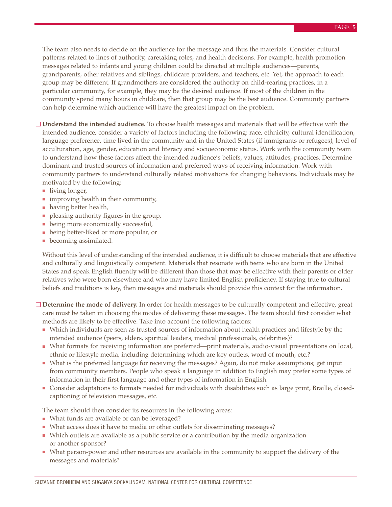The team also needs to decide on the audience for the message and thus the materials. Consider cultural patterns related to lines of authority, caretaking roles, and health decisions. For example, health promotion messages related to infants and young children could be directed at multiple audiences—parents, grandparents, other relatives and siblings, childcare providers, and teachers, etc. Yet, the approach to each group may be different. If grandmothers are considered the authority on child-rearing practices, in a particular community, for example, they may be the desired audience. If most of the children in the community spend many hours in childcare, then that group may be the best audience. Community partners can help determine which audience will have the greatest impact on the problem.

- **Understand the intended audience.** To choose health messages and materials that will be effective with the intended audience, consider a variety of factors including the following: race, ethnicity, cultural identification, language preference, time lived in the community and in the United States (if immigrants or refugees), level of acculturation, age, gender, education and literacy and socioeconomic status. Work with the community team to understand how these factors affect the intended audience's beliefs, values, attitudes, practices. Determine dominant and trusted sources of information and preferred ways of receiving information. Work with community partners to understand culturally related motivations for changing behaviors. Individuals may be motivated by the following:
	- living longer,
	- improving health in their community,
	- having better health,
	- pleasing authority figures in the group,
	- being more economically successful,
	- being better-liked or more popular, or
	- becoming assimilated.

Without this level of understanding of the intended audience, it is difficult to choose materials that are effective and culturally and linguistically competent. Materials that resonate with teens who are born in the United States and speak English fluently will be different than those that may be effective with their parents or older relatives who were born elsewhere and who may have limited English proficiency. If staying true to cultural beliefs and traditions is key, then messages and materials should provide this context for the information.

**Determine the mode of delivery.** In order for health messages to be culturally competent and effective, great care must be taken in choosing the modes of delivering these messages. The team should first consider what methods are likely to be effective. Take into account the following factors:

- Which individuals are seen as trusted sources of information about health practices and lifestyle by the intended audience (peers, elders, spiritual leaders, medical professionals, celebrities)?
- What formats for receiving information are preferred—print materials, audio-visual presentations on local, ethnic or lifestyle media, including determining which are key outlets, word of mouth, etc.?
- What is the preferred language for receiving the messages? Again, do not make assumptions; get input from community members. People who speak a language in addition to English may prefer some types of information in their first language and other types of information in English.
- Consider adaptations to formats needed for individuals with disabilities such as large print, Braille, closedcaptioning of television messages, etc.

The team should then consider its resources in the following areas:

- What funds are available or can be leveraged?
- What access does it have to media or other outlets for disseminating messages?
- Which outlets are available as a public service or a contribution by the media organization or another sponsor?
- What person-power and other resources are available in the community to support the delivery of the messages and materials?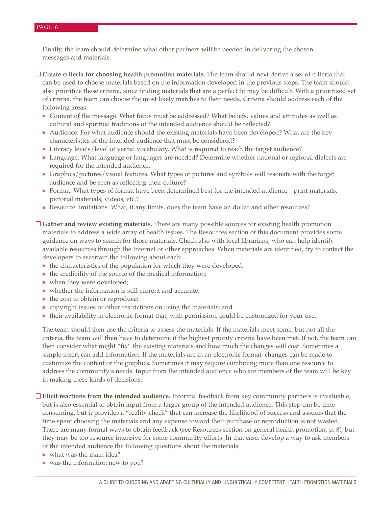#### PAGE **6**

Finally, the team should determine what other partners will be needed in delivering the chosen messages and materials.

- **Create criteria for choosing health promotion materials.** The team should next derive a set of criteria that can be used to choose materials based on the information developed in the previous steps. The team should also prioritize these criteria, since finding materials that are a perfect fit may be difficult. With a prioritized set of criteria, the team can choose the most likely matches to their needs. Criteria should address each of the following areas:
	- Content of the message. What focus must be addressed? What beliefs, values and attitudes as well as cultural and spiritual traditions of the intended audience should be reflected?
	- Audience. For what audience should the existing materials have been developed? What are the key characteristics of the intended audience that must be considered?
	- Literacy levels/level of verbal vocabulary. What is required to reach the target audience?
	- Language. What language or languages are needed? Determine whether national or regional dialects are required for the intended audience.
	- Graphics/pictures/visual features. What types of pictures and symbols will resonate with the target audience and be seen as reflecting their culture?
	- Format. What types of format have been determined best for the intended audience—print materials, pictorial materials, videos, etc.?
	- Resource limitations. What, if any limits, does the team have on dollar and other resources?
- **Gather and review existing materials.** There are many possible sources for existing health promotion materials to address a wide array of health issues. The Resources section of this document provides some guidance on ways to search for those materials. Check also with local librarians, who can help identify available resources through the Internet or other approaches. When materials are identified, try to contact the developers to ascertain the following about each:
	- the characteristics of the population for which they were developed;
	- the credibility of the source of the medical information;
	- when they were developed;
	- whether the information is still current and accurate;
	- the cost to obtain or reproduce;
	- copyright issues or other restrictions on using the materials; and
	- their availability in electronic format that, with permission, could be customized for your use.

The team should then use the criteria to assess the materials. If the materials meet some, but not all the criteria, the team will then have to determine if the highest priority criteria have been met. If not, the team can then consider what might "fix" the existing materials and how much the changes will cost. Sometimes a simple insert can add information. If the materials are in an electronic format, changes can be made to customize the content or the graphics. Sometimes it may require combining more than one resource to address the community's needs. Input from the intended audience who are members of the team will be key in making these kinds of decisions.

**Elicit reactions from the intended audience.** Informal feedback from key community partners is invaluable, but is also essential to obtain input from a larger group of the intended audience. This step can be time consuming, but it provides a "reality check" that can increase the likelihood of success and assures that the time spent choosing the materials and any expense toward their purchase or reproduction is not wasted. There are many formal ways to obtain feedback (see Resources section on general health promotion, p. 8), but they may be too resource intensive for some community efforts. In that case, develop a way to ask members of the intended audience the following questions about the materials:

- what was the main idea?
- was the information new to you?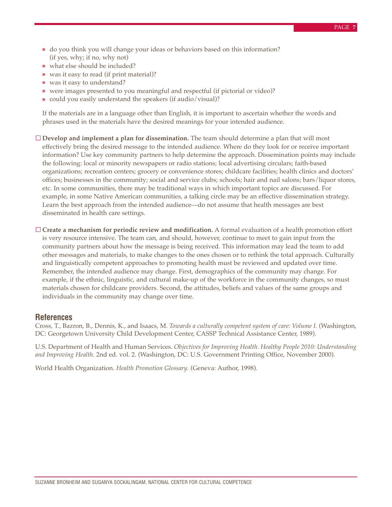- do you think you will change your ideas or behaviors based on this information? (if yes, why; if no, why not)
- what else should be included?
- was it easy to read (if print material)?
- was it easy to understand?
- were images presented to you meaningful and respectful (if pictorial or video)?
- could you easily understand the speakers (if audio/visual)?

If the materials are in a language other than English, it is important to ascertain whether the words and phrases used in the materials have the desired meanings for your intended audience.

**Develop and implement a plan for dissemination.** The team should determine a plan that will most effectively bring the desired message to the intended audience. Where do they look for or receive important information? Use key community partners to help determine the approach. Dissemination points may include the following: local or minority newspapers or radio stations; local advertising circulars; faith-based organizations; recreation centers; grocery or convenience stores; childcare facilities; health clinics and doctors' offices; businesses in the community; social and service clubs; schools; hair and nail salons; bars/liquor stores, etc. In some communities, there may be traditional ways in which important topics are discussed. For example, in some Native American communities, a talking circle may be an effective dissemination strategy. Learn the best approach from the intended audience—do not assume that health messages are best disseminated in health care settings.

**Create a mechanism for periodic review and modification.** A formal evaluation of a health promotion effort is very resource intensive. The team can, and should, however, continue to meet to gain input from the community partners about how the message is being received. This information may lead the team to add other messages and materials, to make changes to the ones chosen or to rethink the total approach. Culturally and linguistically competent approaches to promoting health must be reviewed and updated over time. Remember, the intended audience may change. First, demographics of the community may change. For example, if the ethnic, linguistic, and cultural make-up of the workforce in the community changes, so must materials chosen for childcare providers. Second, the attitudes, beliefs and values of the same groups and individuals in the community may change over time.

#### **References**

Cross, T., Bazron, B., Dennis, K., and Isaacs, M. *Towards a culturally competent system of care: Volume I.* (Washington, DC: Georgetown University Child Development Center, CASSP Technical Assistance Center, 1989).

U.S. Department of Health and Human Services. *Objectives for Improving Health. Healthy People 2010: Understanding and Improving Health.* 2nd ed. vol. 2. (Washington, DC: U.S. Government Printing Office, November 2000).

World Health Organization. *Health Promotion Glossary*. (Geneva: Author, 1998).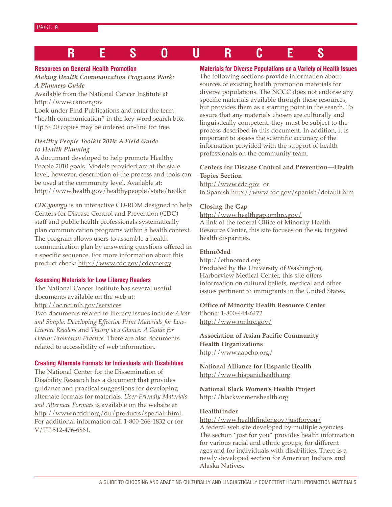# **RESOURCES**

#### **Resources on General Health Promotion**

*Making Health Communication Programs Work: A Planners Guide*

Available from the National Cancer Institute at http://www.cancer.gov

Look under Find Publications and enter the term "health communication" in the key word search box. Up to 20 copies may be ordered on-line for free.

#### *Healthy People Toolkit 2010: A Field Guide to Health Planning*

A document developed to help promote Healthy People 2010 goals. Models provided are at the state level, however, description of the process and tools can be used at the community level. Available at: http://www.health.gov/healthypeople/state/toolkit

*CDCynergy* is an interactive CD-ROM designed to help Centers for Disease Control and Prevention (CDC) staff and public health professionals systematically plan communication programs within a health context. The program allows users to assemble a health communication plan by answering questions offered in a specific sequence. For more information about this product check: http://www.cdc.gov/cdcynergy

#### **Assessing Materials for Low Literacy Readers**

The National Cancer Institute has several useful documents available on the web at:

http://oc.nci.nih.gov/services

Two documents related to literacy issues include: *Clear and Simple: Developing Effective Print Materials for Low-Literate Readers* and *Theory at a Glance: A Guide for Health Promotion Practice*. There are also documents related to accessibility of web information.

#### **Creating Alternate Formats for Individuals with Disabilities**

The National Center for the Dissemination of Disability Research has a document that provides guidance and practical suggestions for developing alternate formats for materials. *User-Friendly Materials and Alternate Formats* is available on the website at http://www.ncddr.org/du/products/specialr.html. For additional information call 1-800-266-1832 or for V/TT 512-476-6861.

#### **Materials for Diverse Populations on a Variety of Health Issues**

The following sections provide information about sources of existing health promotion materials for diverse populations. The NCCC does not endorse any specific materials available through these resources, but provides them as a starting point in the search. To assure that any materials chosen are culturally and linguistically competent, they must be subject to the process described in this document. In addition, it is important to assess the scientific accuracy of the information provided with the support of health professionals on the community team.

#### **Centers for Disease Control and Prevention—Health Topics Section**

http://www.cdc.gov or in Spanish http://www.cdc.gov/spanish/default.htm

#### **Closing the Gap**

http://www.healthgap.omhrc.gov/ A link of the federal Office of Minority Health Resource Center, this site focuses on the six targeted health disparities.

#### **EthnoMed**

http://ethnomed.org Produced by the University of Washington, Harborview Medical Center, this site offers information on cultural beliefs, medical and other issues pertinent to immigrants in the United States.

#### **Office of Minority Health Resource Center** Phone: 1-800-444-6472 http://www.omhrc.gov/

**Association of Asian Pacific Community Health Organizations** http://www.aapcho.org/

**National Alliance for Hispanic Health** http://www.hispanichealth.org

**National Black Women's Health Project** http://blackwomenshealth.org

#### **Healthfinder**

http://www.healthfinder.gov/justforyou/ A federal web site developed by multiple agencies. The section "just for you" provides health information for various racial and ethnic groups, for different ages and for individuals with disabilities. There is a newly developed section for American Indians and Alaska Natives.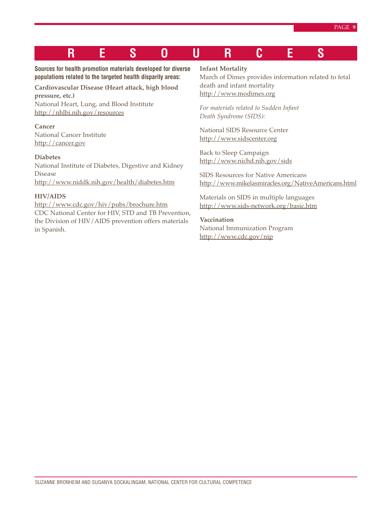# **RESOURCES**

#### **Sources for health promotion materials developed for diverse populations related to the targeted health disparity areas:**

### **Cardiovascular Disease (Heart attack, high blood pressure, etc.)**

National Heart, Lung, and Blood Institute http://nhlbi.nih.gov/resources

### **Cancer** National Cancer Institute

http://cancer.gov

#### **Diabetes**

National Institute of Diabetes, Digestive and Kidney Disease http://www.niddk.nih.gov/health/diabetes.htm

#### **HIV/AIDS**

http://www.cdc.gov/hiv/pubs/brochure.htm CDC National Center for HIV, STD and TB Prevention, the Division of HIV/AIDS prevention offers materials in Spanish.

#### **Infant Mortality**

March of Dimes provides information related to fetal death and infant mortality http://www.modimes.org

*For materials related to Sudden Infant Death Syndrome (SIDS):*

National SIDS Resource Center http://www.sidscenter.org

Back to Sleep Campaign http://www.nichd.nih.gov/sids

SIDS Resources for Native Americans http://www.mikelasmiracles.org/NativeAmericans.html

Materials on SIDS in multiple languages http://www.sids-network.org/basic.htm

#### **Vaccination**

National Immunization Program http://www.cdc.gov/nip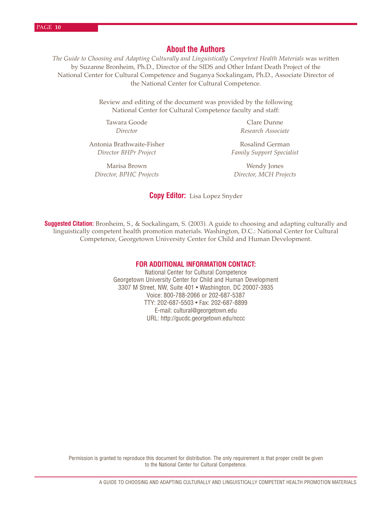#### **About the Authors**

*The Guide to Choosing and Adapting Culturally and Linguistically Competent Health Materials* was written by Suzanne Bronheim, Ph.D., Director of the SIDS and Other Infant Death Project of the National Center for Cultural Competence and Suganya Sockalingam, Ph.D., Associate Director of the National Center for Cultural Competence.

> Review and editing of the document was provided by the following National Center for Cultural Competence faculty and staff:

Tawara Goode **Clare Dunne** 

Antonia Brathwaite-Fisher Rosalind German

Marisa Brown Wendy Jones *Director, BPHC Projects Director, MCH Projects*

*Director Research Associate*

*Director BHPr Project* Family Support Specialist

#### **Copy Editor:** Lisa Lopez Snyder

**Suggested Citation:** Bronheim, S., & Sockalingam, S. (2003). A guide to choosing and adapting culturally and linguistically competent health promotion materials. Washington, D.C.: National Center for Cultural Competence, Georgetown University Center for Child and Human Development.

#### **FOR ADDITIONAL INFORMATION CONTACT:**

National Center for Cultural Competence Georgetown University Center for Child and Human Development 3307 M Street, NW, Suite 401 • Washington, DC 20007-3935 Voice: 800-788-2066 or 202-687-5387 TTY: 202-687-5503 • Fax: 202-687-8899 E-mail: cultural@georgetown.edu URL: http://gucdc.georgetown.edu/nccc

Permission is granted to reproduce this document for distribution. The only requirement is that proper credit be given to the National Center for Cultural Competence.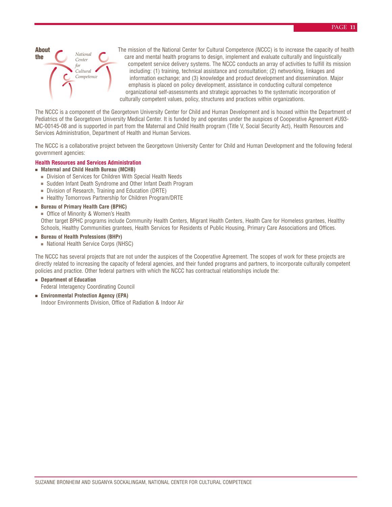

The mission of the National Center for Cultural Competence (NCCC) is to increase the capacity of health care and mental health programs to design, implement and evaluate culturally and linguistically competent service delivery systems. The NCCC conducts an array of activities to fulfill its mission including: (1) training, technical assistance and consultation; (2) networking, linkages and information exchange; and (3) knowledge and product development and dissemination. Major emphasis is placed on policy development, assistance in conducting cultural competence organizational self-assessments and strategic approaches to the systematic incorporation of culturally competent values, policy, structures and practices within organizations.

The NCCC is a component of the Georgetown University Center for Child and Human Development and is housed within the Department of Pediatrics of the Georgetown University Medical Center. It is funded by and operates under the auspices of Cooperative Agreement #U93-MC-00145-08 and is supported in part from the Maternal and Child Health program (Title V, Social Security Act), Health Resources and Services Administration, Department of Health and Human Services.

The NCCC is a collaborative project between the Georgetown University Center for Child and Human Development and the following federal government agencies:

#### **Health Resources and Services Administration**

- **Maternal and Child Health Bureau (MCHB)**
	- Division of Services for Children With Special Health Needs
	- Sudden Infant Death Syndrome and Other Infant Death Program
	- Division of Research, Training and Education (DRTE)
	- Healthy Tomorrows Partnership for Children Program/DRTE

#### ■ **Bureau of Primary Health Care (BPHC)**

■ Office of Minority & Women's Health

Other target BPHC programs include Community Health Centers, Migrant Health Centers, Health Care for Homeless grantees, Healthy Schools, Healthy Communities grantees, Health Services for Residents of Public Housing, Primary Care Associations and Offices.

#### ■ **Bureau of Health Professions (BHPr)**

■ National Health Service Corps (NHSC)

The NCCC has several projects that are not under the auspices of the Cooperative Agreement. The scopes of work for these projects are directly related to increasing the capacity of federal agencies, and their funded programs and partners, to incorporate culturally competent policies and practice. Other federal partners with which the NCCC has contractual relationships include the:

- **Department of Education** Federal Interagency Coordinating Council
- **Environmental Protection Agency (EPA)** Indoor Environments Division, Office of Radiation & Indoor Air